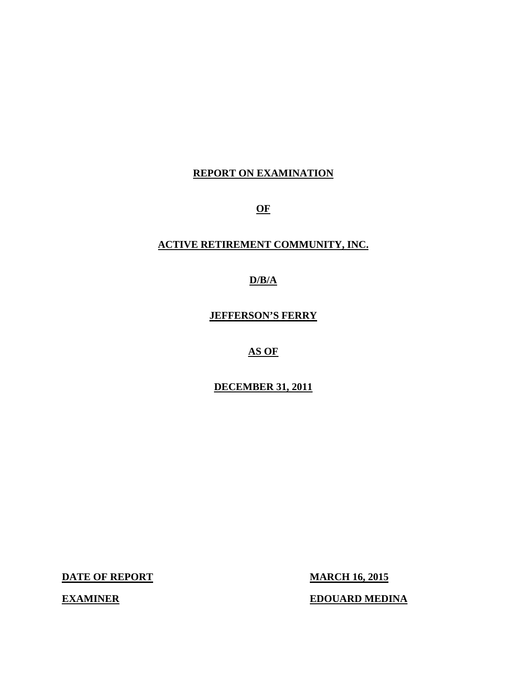## **REPORT ON EXAMINATION**

**OF** 

### **ACTIVE RETIREMENT COMMUNITY, INC.**

### **D/B/A**

**JEFFERSON'S FERRY** 

### **AS OF**

#### **DECEMBER 31, 2011**

**DATE OF REPORT MARCH 16, 2015** 

**EXAMINER EDOUARD MEDINA**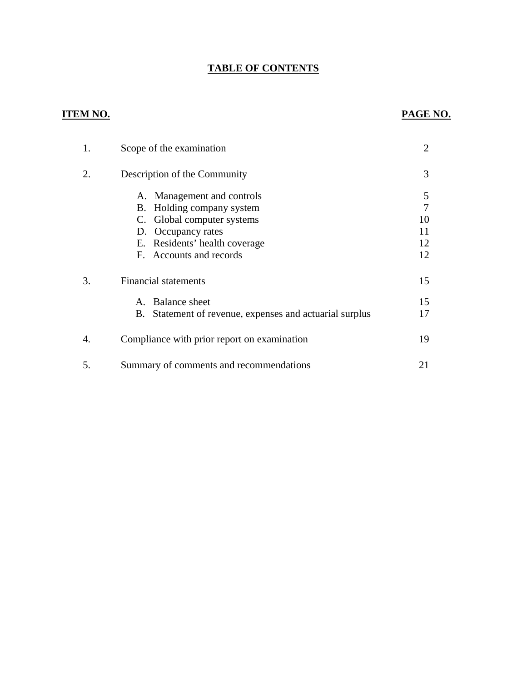## **TABLE OF CONTENTS**

#### **ITEM NO. PAGE NO.**

| 1. | Scope of the examination                                   | $\overline{2}$ |
|----|------------------------------------------------------------|----------------|
| 2. | Description of the Community                               | 3              |
|    | A. Management and controls<br>Holding company system<br>В. | 5<br>7         |
|    | C. Global computer systems                                 | 10             |
|    | D. Occupancy rates                                         | 11             |
|    | E. Residents' health coverage                              | 12             |
|    | F. Accounts and records                                    | 12             |
| 3. | <b>Financial statements</b>                                | 15             |
|    | <b>Balance sheet</b><br>$A_{-}$                            | 15             |
|    | B. Statement of revenue, expenses and actuarial surplus    | 17             |
| 4. | Compliance with prior report on examination                | 19             |
| 5. | Summary of comments and recommendations                    | 21             |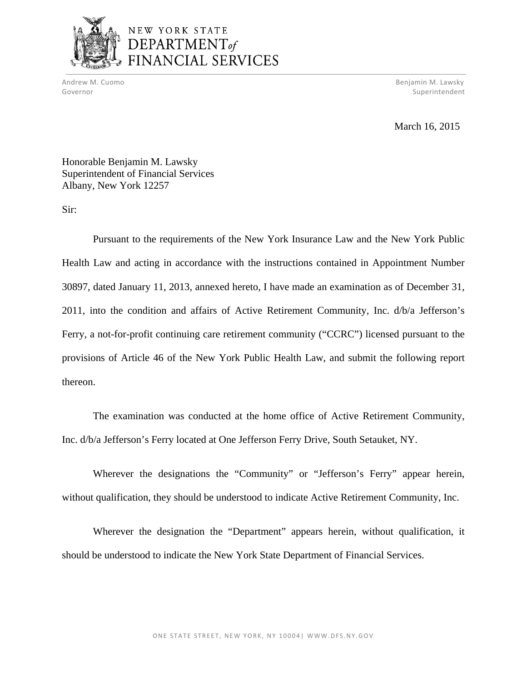

Andrew M. Cuomo Benjamin M. Lawsky (1999), andrew M. Lawsky (1999), andrew M. Lawsky (1999), andrew M. Lawsky <u>Superintendent</u><br>
Superintendent Governor Superintendent

March 16, 2015

Honorable Benjamin M. Lawsky Superintendent of Financial Services Albany, New York 12257

Sir:

Pursuant to the requirements of the New York Insurance Law and the New York Public Health Law and acting in accordance with the instructions contained in Appointment Number 30897, dated January 11, 2013, annexed hereto, I have made an examination as of December 31, 2011, into the condition and affairs of Active Retirement Community, Inc. d/b/a Jefferson's Ferry, a not-for-profit continuing care retirement community ("CCRC") licensed pursuant to the provisions of Article 46 of the New York Public Health Law, and submit the following report thereon.

The examination was conducted at the home office of Active Retirement Community, Inc. d/b/a Jefferson's Ferry located at One Jefferson Ferry Drive, South Setauket, NY.

Wherever the designations the "Community" or "Jefferson's Ferry" appear herein, without qualification, they should be understood to indicate Active Retirement Community, Inc.

Wherever the designation the "Department" appears herein, without qualification, it should be understood to indicate the New York State Department of Financial Services.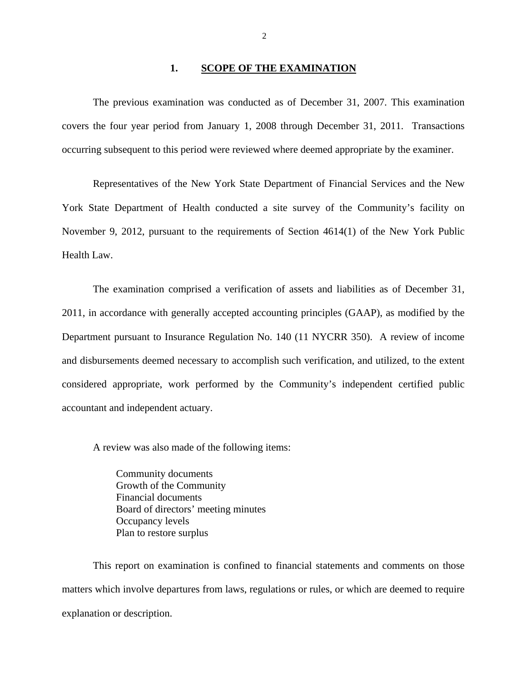#### **1. SCOPE OF THE EXAMINATION**

The previous examination was conducted as of December 31, 2007. This examination covers the four year period from January 1, 2008 through December 31, 2011. Transactions occurring subsequent to this period were reviewed where deemed appropriate by the examiner.

Representatives of the New York State Department of Financial Services and the New York State Department of Health conducted a site survey of the Community's facility on November 9, 2012, pursuant to the requirements of Section 4614(1) of the New York Public Health Law.

The examination comprised a verification of assets and liabilities as of December 31, 2011, in accordance with generally accepted accounting principles (GAAP), as modified by the Department pursuant to Insurance Regulation No. 140 (11 NYCRR 350). A review of income and disbursements deemed necessary to accomplish such verification, and utilized, to the extent considered appropriate, work performed by the Community's independent certified public accountant and independent actuary.

A review was also made of the following items:

Community documents Growth of the Community Financial documents Board of directors' meeting minutes Occupancy levels Plan to restore surplus

This report on examination is confined to financial statements and comments on those matters which involve departures from laws, regulations or rules, or which are deemed to require explanation or description.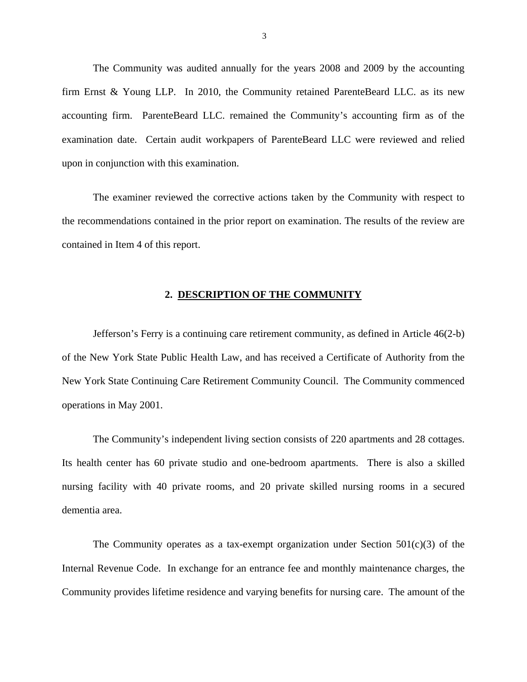<span id="page-4-0"></span>The Community was audited annually for the years 2008 and 2009 by the accounting firm Ernst & Young LLP. In 2010, the Community retained ParenteBeard LLC. as its new accounting firm. ParenteBeard LLC. remained the Community's accounting firm as of the examination date. Certain audit workpapers of ParenteBeard LLC were reviewed and relied upon in conjunction with this examination.

The examiner reviewed the corrective actions taken by the Community with respect to the recommendations contained in the prior report on examination. The results of the review are contained in Item 4 of this report.

#### **2. DESCRIPTION OF THE COMMUNITY**

Jefferson's Ferry is a continuing care retirement community, as defined in Article 46(2-b) of the New York State Public Health Law, and has received a Certificate of Authority from the New York State Continuing Care Retirement Community Council. The Community commenced operations in May 2001.

 The Community's independent living section consists of 220 apartments and 28 cottages. Its health center has 60 private studio and one-bedroom apartments. There is also a skilled nursing facility with 40 private rooms, and 20 private skilled nursing rooms in a secured dementia area.

The Community operates as a tax-exempt organization under Section  $501(c)(3)$  of the Internal Revenue Code. In exchange for an entrance fee and monthly maintenance charges, the Community provides lifetime residence and varying benefits for nursing care. The amount of the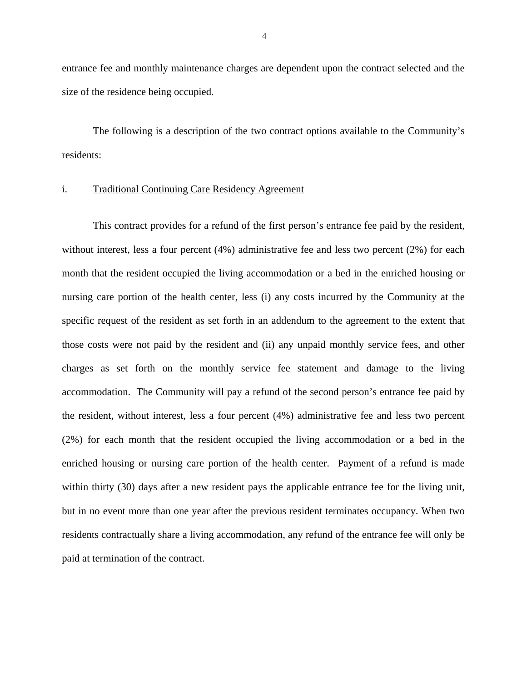entrance fee and monthly maintenance charges are dependent upon the contract selected and the size of the residence being occupied.

The following is a description of the two contract options available to the Community's residents:

#### i. Traditional Continuing Care Residency Agreement

This contract provides for a refund of the first person's entrance fee paid by the resident, without interest, less a four percent (4%) administrative fee and less two percent (2%) for each month that the resident occupied the living accommodation or a bed in the enriched housing or nursing care portion of the health center, less (i) any costs incurred by the Community at the specific request of the resident as set forth in an addendum to the agreement to the extent that those costs were not paid by the resident and (ii) any unpaid monthly service fees, and other charges as set forth on the monthly service fee statement and damage to the living accommodation. The Community will pay a refund of the second person's entrance fee paid by the resident, without interest, less a four percent (4%) administrative fee and less two percent (2%) for each month that the resident occupied the living accommodation or a bed in the enriched housing or nursing care portion of the health center. Payment of a refund is made within thirty (30) days after a new resident pays the applicable entrance fee for the living unit, but in no event more than one year after the previous resident terminates occupancy. When two residents contractually share a living accommodation, any refund of the entrance fee will only be paid at termination of the contract.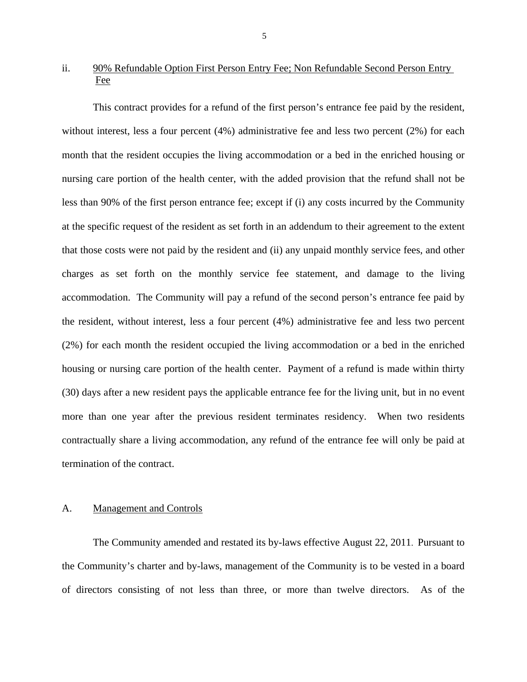#### <span id="page-6-0"></span>ii. 90% Refundable Option First Person Entry Fee; Non Refundable Second Person Entry Fee

This contract provides for a refund of the first person's entrance fee paid by the resident, without interest, less a four percent (4%) administrative fee and less two percent (2%) for each month that the resident occupies the living accommodation or a bed in the enriched housing or nursing care portion of the health center, with the added provision that the refund shall not be less than 90% of the first person entrance fee; except if (i) any costs incurred by the Community at the specific request of the resident as set forth in an addendum to their agreement to the extent that those costs were not paid by the resident and (ii) any unpaid monthly service fees, and other charges as set forth on the monthly service fee statement, and damage to the living accommodation. The Community will pay a refund of the second person's entrance fee paid by the resident, without interest, less a four percent (4%) administrative fee and less two percent (2%) for each month the resident occupied the living accommodation or a bed in the enriched housing or nursing care portion of the health center. Payment of a refund is made within thirty (30) days after a new resident pays the applicable entrance fee for the living unit, but in no event more than one year after the previous resident terminates residency. When two residents contractually share a living accommodation, any refund of the entrance fee will only be paid at termination of the contract.

#### A. Management and Controls

The Community amended and restated its by-laws effective August 22, 2011. Pursuant to the Community's charter and by-laws, management of the Community is to be vested in a board of directors consisting of not less than three, or more than twelve directors. As of the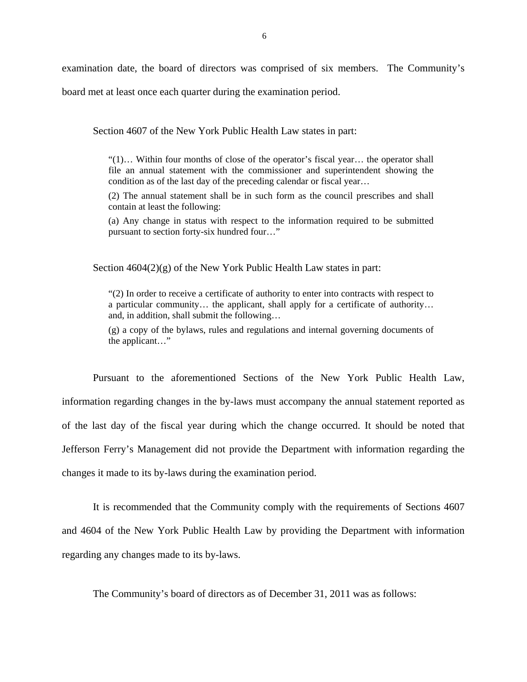examination date, the board of directors was comprised of six members. The Community's

board met at least once each quarter during the examination period.

Section 4607 of the New York Public Health Law states in part:

"(1)… Within four months of close of the operator's fiscal year… the operator shall file an annual statement with the commissioner and superintendent showing the condition as of the last day of the preceding calendar or fiscal year…

(2) The annual statement shall be in such form as the council prescribes and shall contain at least the following:

(a) Any change in status with respect to the information required to be submitted pursuant to section forty-six hundred four…"

Section  $4604(2)(g)$  of the New York Public Health Law states in part:

"(2) In order to receive a certificate of authority to enter into contracts with respect to a particular community… the applicant, shall apply for a certificate of authority… and, in addition, shall submit the following…

(g) a copy of the bylaws, rules and regulations and internal governing documents of the applicant…"

Pursuant to the aforementioned Sections of the New York Public Health Law, information regarding changes in the by-laws must accompany the annual statement reported as of the last day of the fiscal year during which the change occurred. It should be noted that Jefferson Ferry's Management did not provide the Department with information regarding the changes it made to its by-laws during the examination period.

It is recommended that the Community comply with the requirements of Sections 4607 and 4604 of the New York Public Health Law by providing the Department with information regarding any changes made to its by-laws.

The Community's board of directors as of December 31, 2011 was as follows: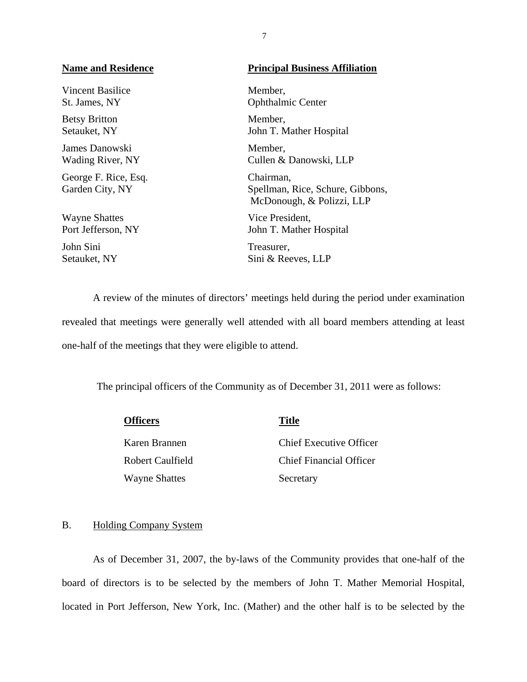Setauket, NY Vincent Basilice Member, Betsy Britton Member, James Danowski Member, George F. Rice, Esq. Chairman, Wayne Shattes Vice President,

John Sini Treasurer,

#### **Name and Residence Principal Business Affiliation**

St. James, NY Ophthalmic Center John T. Mather Hospital

Wading River, NY Cullen & Danowski, LLP

Garden City, NY Spellman, Rice, Schure, Gibbons, McDonough, & Polizzi, LLP

Port Jefferson, NY John T. Mather Hospital

Setauket, NY Sini & Reeves, LLP

A review of the minutes of directors' meetings held during the period under examination revealed that meetings were generally well attended with all board members attending at least one-half of the meetings that they were eligible to attend.

The principal officers of the Community as of December 31, 2011 were as follows:

| <b>Officers</b>      | <b>Title</b>                   |
|----------------------|--------------------------------|
| Karen Brannen        | Chief Executive Officer        |
| Robert Caulfield     | <b>Chief Financial Officer</b> |
| <b>Wayne Shattes</b> | Secretary                      |

#### B. Holding Company System

As of December 31, 2007, the by-laws of the Community provides that one-half of the board of directors is to be selected by the members of John T. Mather Memorial Hospital, located in Port Jefferson, New York, Inc. (Mather) and the other half is to be selected by the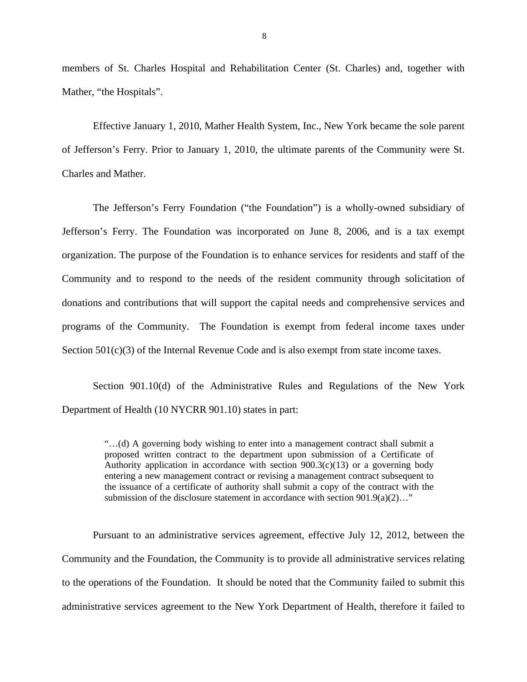members of St. Charles Hospital and Rehabilitation Center (St. Charles) and, together with Mather, "the Hospitals".

Effective January 1, 2010, Mather Health System, Inc., New York became the sole parent of Jefferson's Ferry. Prior to January 1, 2010, the ultimate parents of the Community were St. Charles and Mather.

The Jefferson's Ferry Foundation ("the Foundation") is a wholly-owned subsidiary of Jefferson's Ferry. The Foundation was incorporated on June 8, 2006, and is a tax exempt organization. The purpose of the Foundation is to enhance services for residents and staff of the Community and to respond to the needs of the resident community through solicitation of donations and contributions that will support the capital needs and comprehensive services and programs of the Community. The Foundation is exempt from federal income taxes under Section 501(c)(3) of the Internal Revenue Code and is also exempt from state income taxes.

Section 901.10(d) of the Administrative Rules and Regulations of the New York Department of Health (10 NYCRR 901.10) states in part:

> "…(d) A governing body wishing to enter into a management contract shall submit a proposed written contract to the department upon submission of a Certificate of Authority application in accordance with section  $900.3(c)(13)$  or a governing body entering a new management contract or revising a management contract subsequent to the issuance of a certificate of authority shall submit a copy of the contract with the submission of the disclosure statement in accordance with section  $901.9(a)(2)...$ "

Pursuant to an administrative services agreement, effective July 12, 2012, between the Community and the Foundation, the Community is to provide all administrative services relating to the operations of the Foundation. It should be noted that the Community failed to submit this administrative services agreement to the New York Department of Health, therefore it failed to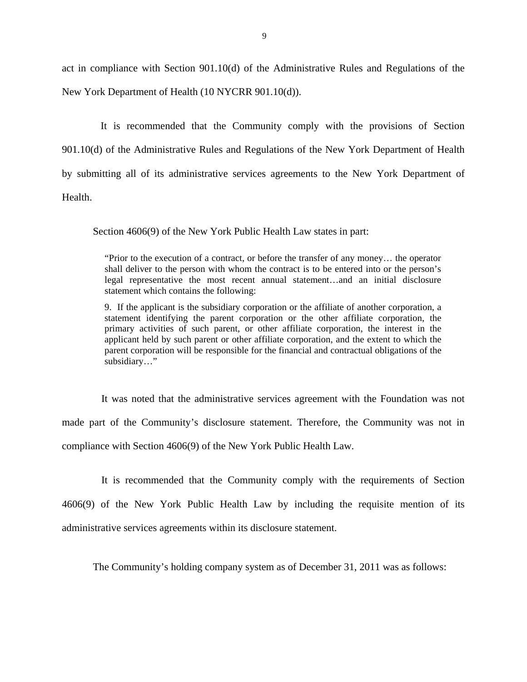act in compliance with Section 901.10(d) of the Administrative Rules and Regulations of the New York Department of Health (10 NYCRR 901.10(d)).

It is recommended that the Community comply with the provisions of Section 901.10(d) of the Administrative Rules and Regulations of the New York Department of Health by submitting all of its administrative services agreements to the New York Department of Health.

Section 4606(9) of the New York Public Health Law states in part:

"Prior to the execution of a contract, or before the transfer of any money... the operator shall deliver to the person with whom the contract is to be entered into or the person's legal representative the most recent annual statement…and an initial disclosure statement which contains the following:

9. If the applicant is the subsidiary corporation or the affiliate of another corporation, a statement identifying the parent corporation or the other affiliate corporation, the primary activities of such parent, or other affiliate corporation, the interest in the applicant held by such parent or other affiliate corporation, and the extent to which the parent corporation will be responsible for the financial and contractual obligations of the subsidiary…"

It was noted that the administrative services agreement with the Foundation was not made part of the Community's disclosure statement. Therefore, the Community was not in compliance with Section 4606(9) of the New York Public Health Law.

It is recommended that the Community comply with the requirements of Section 4606(9) of the New York Public Health Law by including the requisite mention of its administrative services agreements within its disclosure statement.

The Community's holding company system as of December 31, 2011 was as follows: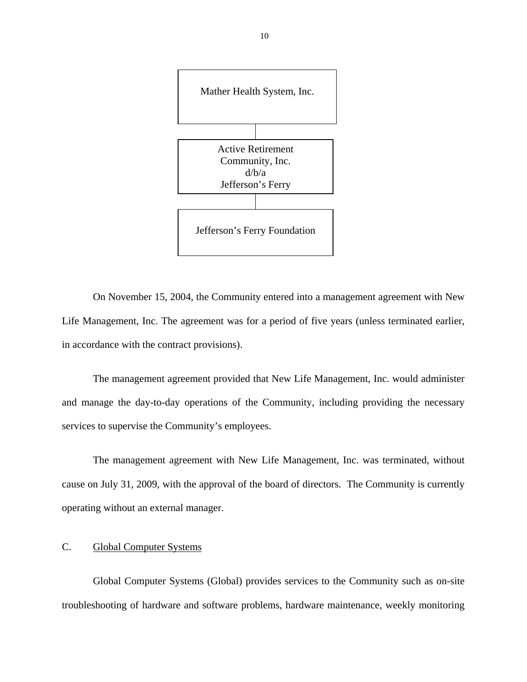<span id="page-11-0"></span>

On November 15, 2004, the Community entered into a management agreement with New Life Management, Inc. The agreement was for a period of five years (unless terminated earlier, in accordance with the contract provisions).

The management agreement provided that New Life Management, Inc. would administer and manage the day-to-day operations of the Community, including providing the necessary services to supervise the Community's employees.

The management agreement with New Life Management, Inc. was terminated, without cause on July 31, 2009, with the approval of the board of directors. The Community is currently operating without an external manager.

#### C. Global Computer Systems

Global Computer Systems (Global) provides services to the Community such as on-site troubleshooting of hardware and software problems, hardware maintenance, weekly monitoring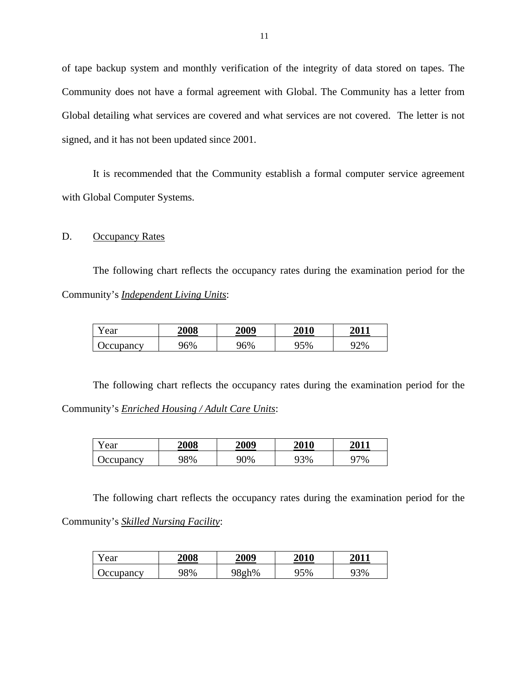of tape backup system and monthly verification of the integrity of data stored on tapes. The Community does not have a formal agreement with Global. The Community has a letter from Global detailing what services are covered and what services are not covered. The letter is not signed, and it has not been updated since 2001.

It is recommended that the Community establish a formal computer service agreement with Global Computer Systems.

#### D. Occupancy Rates

The following chart reflects the occupancy rates during the examination period for the Community's *Independent Living Units*:

| T 7<br>'ear      | <b>2008</b> | 2009 | <b>2010</b>   | 2011   |
|------------------|-------------|------|---------------|--------|
| <b>Jecupancy</b> | )6%         | 96%  | $^{\circ}5\%$ | $22\%$ |

The following chart reflects the occupancy rates during the examination period for the Community's *Enriched Housing / Adult Care Units*:

| r ear            | <b>2008</b> | 2009 | <b>2010</b> | 2011 |
|------------------|-------------|------|-------------|------|
| <b>Occupancy</b> | 98%         | 90%  | 93%         | 97%  |

The following chart reflects the occupancy rates during the examination period for the Community's *Skilled Nursing Facility*:

| Year             | 2008 | 2009  | <b>2010</b> | <b>2011</b> |
|------------------|------|-------|-------------|-------------|
| <b>Occupancy</b> | 98%  | 98gh% | 95%         | 93%         |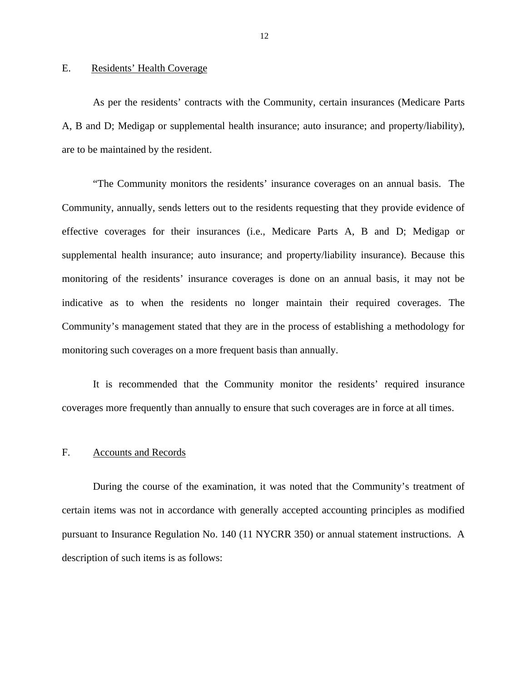#### <span id="page-13-0"></span>E. Residents' Health Coverage

As per the residents' contracts with the Community, certain insurances (Medicare Parts A, B and D; Medigap or supplemental health insurance; auto insurance; and property/liability), are to be maintained by the resident.

"The Community monitors the residents' insurance coverages on an annual basis. The Community, annually, sends letters out to the residents requesting that they provide evidence of effective coverages for their insurances (i.e., Medicare Parts A, B and D; Medigap or supplemental health insurance; auto insurance; and property/liability insurance). Because this monitoring of the residents' insurance coverages is done on an annual basis, it may not be indicative as to when the residents no longer maintain their required coverages. The Community's management stated that they are in the process of establishing a methodology for monitoring such coverages on a more frequent basis than annually.

It is recommended that the Community monitor the residents' required insurance coverages more frequently than annually to ensure that such coverages are in force at all times.

#### F. Accounts and Records

During the course of the examination, it was noted that the Community's treatment of certain items was not in accordance with generally accepted accounting principles as modified pursuant to Insurance Regulation No. 140 (11 NYCRR 350) or annual statement instructions. A description of such items is as follows: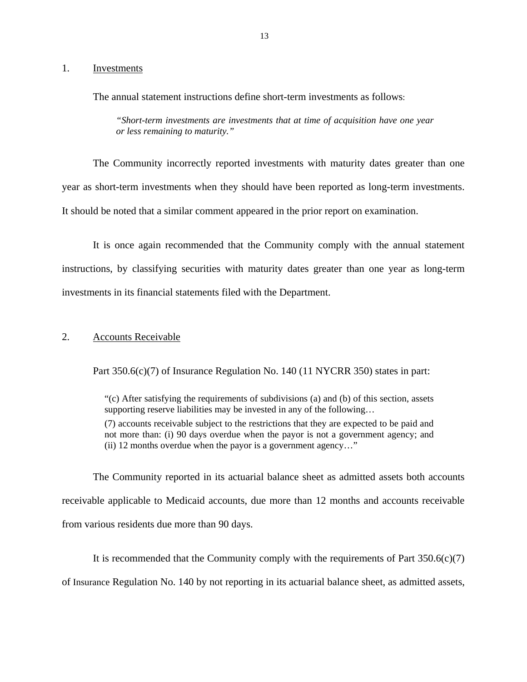#### Investments

1. Investments<br>The annual statement instructions define short-term investments as follows:

*"Short-term investments are investments that at time of acquisition have one year or less remaining to maturity."* 

The Community incorrectly reported investments with maturity dates greater than one year as short-term investments when they should have been reported as long-term investments. It should be noted that a similar comment appeared in the prior report on examination.

It is once again recommended that the Community comply with the annual statement instructions, by classifying securities with maturity dates greater than one year as long-term investments in its financial statements filed with the Department.

#### 2. Accounts Receivable

Part 350.6(c)(7) of Insurance Regulation No. 140 (11 NYCRR 350) states in part:

"(c) After satisfying the requirements of subdivisions (a) and (b) of this section, assets supporting reserve liabilities may be invested in any of the following... (7) accounts receivable subject to the restrictions that they are expected to be paid and not more than: (i) 90 days overdue when the payor is not a government agency; and (ii) 12 months overdue when the payor is a government agency…"

The Community reported in its actuarial balance sheet as admitted assets both accounts receivable applicable to Medicaid accounts, due more than 12 months and accounts receivable from various residents due more than 90 days.

It is recommended that the Community comply with the requirements of Part  $350.6(c)(7)$ of Insurance Regulation No. 140 by not reporting in its actuarial balance sheet, as admitted assets,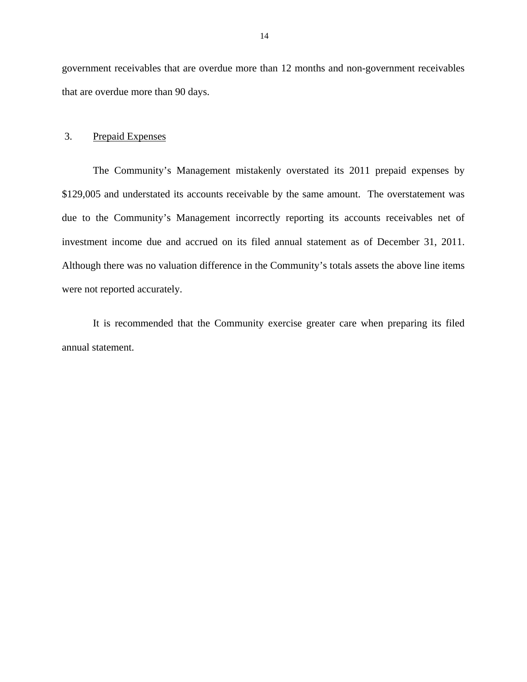government receivables that are overdue more than 12 months and non-government receivables that are overdue more than 90 days.

#### 3. Prepaid Expenses

investment income due and accrued on its filed annual statement as of December 31, 2011. The Community's Management mistakenly overstated its 2011 prepaid expenses by \$129,005 and understated its accounts receivable by the same amount. The overstatement was due to the Community's Management incorrectly reporting its accounts receivables net of Although there was no valuation difference in the Community's totals assets the above line items were not reported accurately.

It is recommended that the Community exercise greater care when preparing its filed annual statement.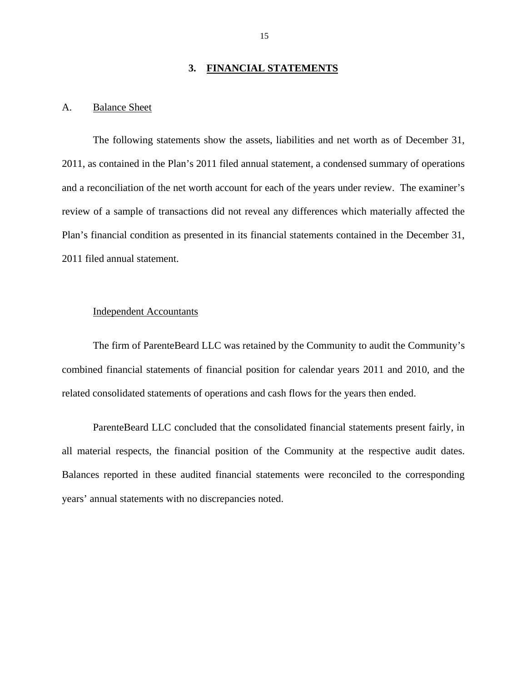#### **3. FINANCIAL STATEMENTS**

#### <span id="page-16-0"></span>A. Balance Sheet

The following statements show the assets, liabilities and net worth as of December 31, 2011, as contained in the Plan's 2011 filed annual statement, a condensed summary of operations and a reconciliation of the net worth account for each of the years under review. The examiner's review of a sample of transactions did not reveal any differences which materially affected the Plan's financial condition as presented in its financial statements contained in the December 31, 2011 filed annual statement.

#### Independent Accountants

The firm of ParenteBeard LLC was retained by the Community to audit the Community's combined financial statements of financial position for calendar years 2011 and 2010, and the related consolidated statements of operations and cash flows for the years then ended.

 all material respects, the financial position of the Community at the respective audit dates. Balances reported in these audited financial statements were reconciled to the corresponding ParenteBeard LLC concluded that the consolidated financial statements present fairly, in years' annual statements with no discrepancies noted.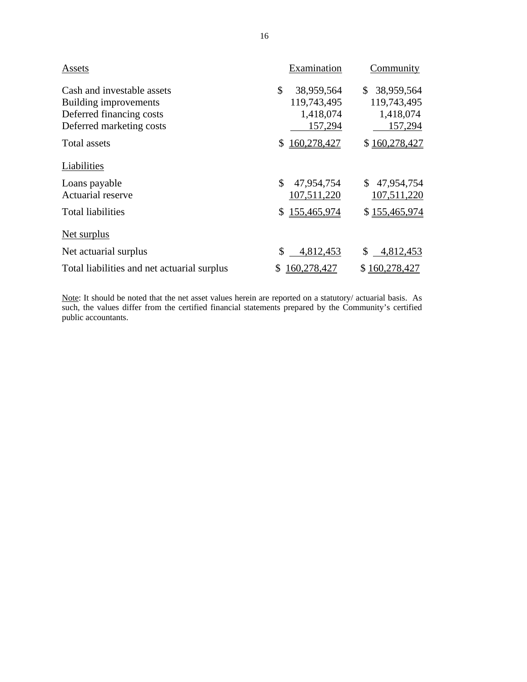|                                                                                                             | 16                                                      |                                                                   |
|-------------------------------------------------------------------------------------------------------------|---------------------------------------------------------|-------------------------------------------------------------------|
| Assets                                                                                                      | Examination                                             | Community                                                         |
| Cash and investable assets<br>Building improvements<br>Deferred financing costs<br>Deferred marketing costs | \$<br>38,959,564<br>119,743,495<br>1,418,074<br>157,294 | $\mathbb{S}$<br>38,959,564<br>119,743,495<br>1,418,074<br>157,294 |
| Total assets                                                                                                | 160,278,427<br>\$                                       | \$160,278,427                                                     |
| Liabilities                                                                                                 |                                                         |                                                                   |
| Loans payable<br>Actuarial reserve                                                                          | \$<br>47,954,754<br>107,511,220                         | 47,954,754<br>S.<br>107,511,220                                   |
| <b>Total liabilities</b>                                                                                    | \$155,465,974                                           | \$155,465,974                                                     |
| <u>Net surplus</u>                                                                                          |                                                         |                                                                   |
| Net actuarial surplus                                                                                       | \$<br>4,812,453                                         | \$<br>4,812,453                                                   |
| Total liabilities and net actuarial surplus                                                                 | 160,278,427<br>\$                                       | \$160,278,427                                                     |

Note: It should be noted that the net asset values herein are reported on a statutory/ actuarial basis. As such, the values differ from the certified financial statements prepared by the Community's certified public accountants.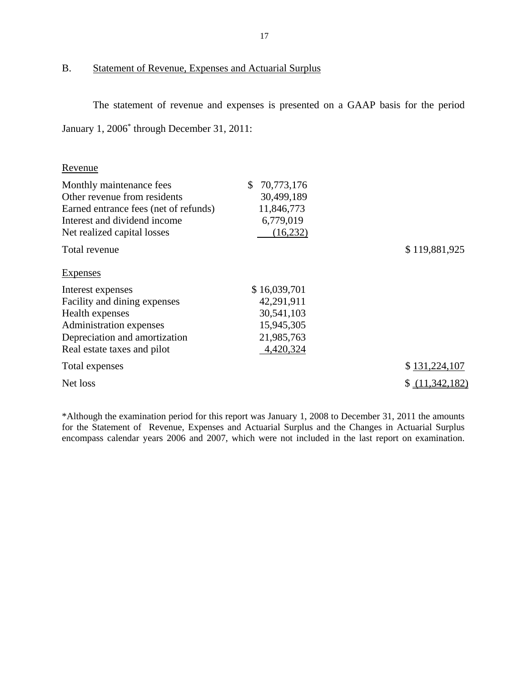#### B. Statement of Revenue, Expenses and Actuarial Surplus

The statement of revenue and expenses is presented on a GAAP basis for the period January 1, 2006\* through December 31, 2011:

| Revenue                               |                  |               |
|---------------------------------------|------------------|---------------|
| Monthly maintenance fees              | 70,773,176<br>S. |               |
| Other revenue from residents          | 30,499,189       |               |
| Earned entrance fees (net of refunds) | 11,846,773       |               |
| Interest and dividend income          | 6,779,019        |               |
| Net realized capital losses           | (16,232)         |               |
| Total revenue                         |                  | \$119,881,925 |

Expenses

| Interest expenses             | \$16,039,701 |                 |
|-------------------------------|--------------|-----------------|
| Facility and dining expenses  | 42,291,911   |                 |
| Health expenses               | 30,541,103   |                 |
| Administration expenses       | 15,945,305   |                 |
| Depreciation and amortization | 21,985,763   |                 |
| Real estate taxes and pilot   | 4,420,324    |                 |
| Total expenses                |              | \$131,224,107   |
| Net loss                      |              | \$ (11,342,182) |

\*Although the examination period for this report was January 1, 2008 to December 31, 2011 the amounts for the Statement of Revenue, Expenses and Actuarial Surplus and the Changes in Actuarial Surplus encompass calendar years 2006 and 2007, which were not included in the last report on examination.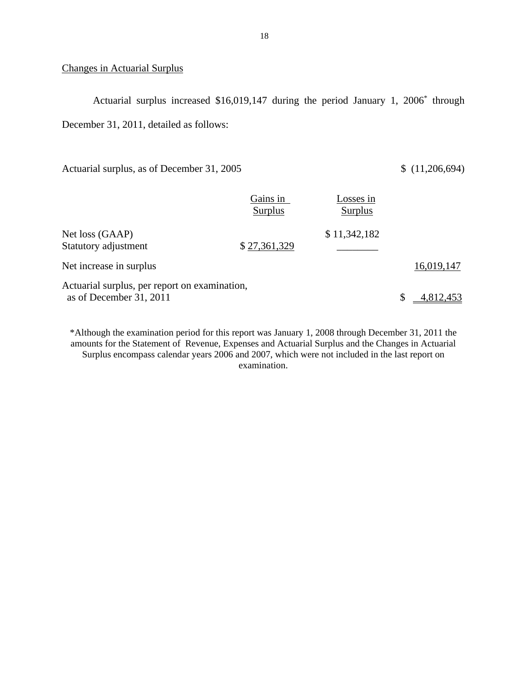#### **Changes in Actuarial Surplus**

Actuarial surplus increased \$16,019,147 during the period January 1, 2006\* through December 31, 2011, detailed as follows:

Actuarial surplus, as of December 31, 2005 \$ (11,206,694)

|                                                                          | Gains in<br>Surplus | Losses in<br>Surplus |            |
|--------------------------------------------------------------------------|---------------------|----------------------|------------|
| Net loss (GAAP)<br>Statutory adjustment                                  | \$27,361,329        | \$11,342,182         |            |
| Net increase in surplus                                                  |                     |                      | 16,019,147 |
| Actuarial surplus, per report on examination,<br>as of December 31, 2011 |                     |                      | 4,812,453  |

\*Although the examination period for this report was January 1, 2008 through December 31, 2011 the amounts for the Statement of Revenue, Expenses and Actuarial Surplus and the Changes in Actuarial Surplus encompass calendar years 2006 and 2007, which were not included in the last report on examination.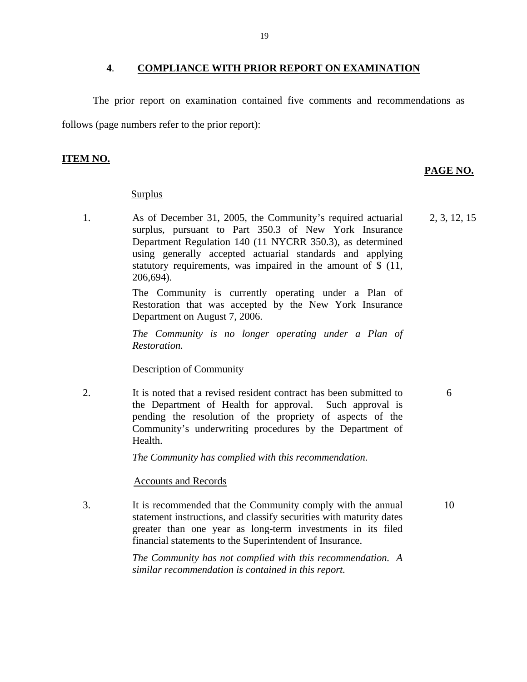#### **4**. **COMPLIANCE WITH PRIOR REPORT ON EXAMINATION**

The prior report on examination contained five comments and recommendations as follows (page numbers refer to the prior report):

#### **ITEM NO.**

#### **PAGE NO.**

6

#### **Surplus**

1. As of December 31, 2005, the Community's required actuarial surplus, pursuant to Part 350.3 of New York Insurance Department Regulation 140 (11 NYCRR 350.3), as determined using generally accepted actuarial standards and applying statutory requirements, was impaired in the amount of \$ (11, 206,694). 2, 3, 12, 15

> The Community is currently operating under a Plan of Restoration that was accepted by the New York Insurance Department on August 7, 2006.

> *The Community is no longer operating under a Plan of Restoration.*

#### Description of Community

2. It is noted that a revised resident contract has been submitted to the Department of Health for approval. Such approval is pending the resolution of the propriety of aspects of the Community's underwriting procedures by the Department of Health.

*The Community has complied with this recommendation.* 

#### Accounts and Records

financial statements to the Superintendent of Insurance. 3. It is recommended that the Community comply with the annual statement instructions, and classify securities with maturity dates greater than one year as long-term investments in its filed It is recommended that the Community comply with the annual 10<br>statement instructions, and classify securities with maturity dates<br>greater than one year as long-term investments in its filed<br>financial statements to the Sup

> *The Community has not complied with this recommendation. A similar recommendation is contained in this report.*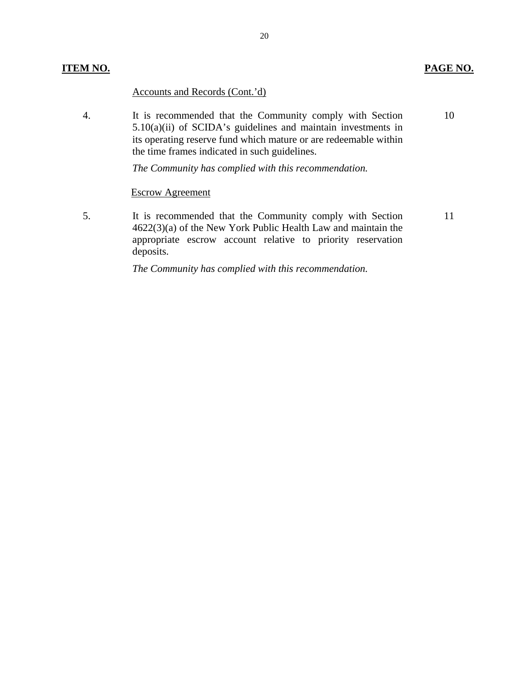#### **ITEM NO. PAGE NO.**

#### Accounts and Records (Cont.'d)

4. It is recommended that the Community comply with Section 5.10(a)(ii) of SCIDA's guidelines and maintain investments in its operating reserve fund which mature or are redeemable within the time frames indicated in such guidelines. 10

*The Community has complied with this recommendation.* 

#### Escrow Agreement

5. It is recommended that the Community comply with Section 4622(3)(a) of the New York Public Health Law and maintain the appropriate escrow account relative to priority reservation deposits. 11

*The Community has complied with this recommendation.*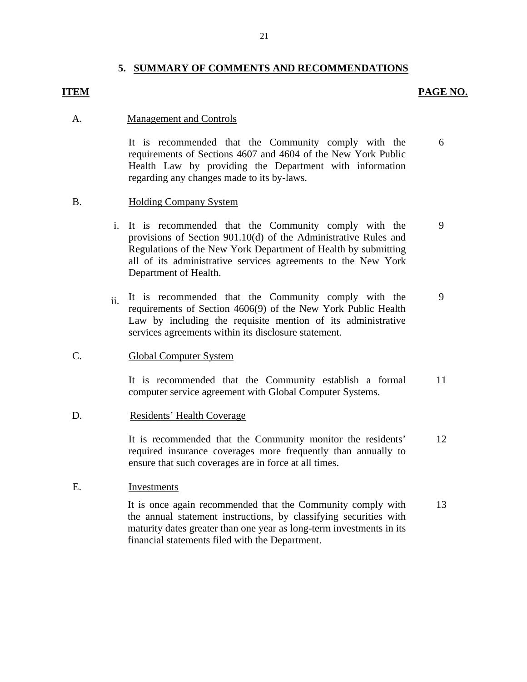#### **5. SUMMARY OF COMMENTS AND RECOMMENDATIONS**

#### **ITEM PAGE NO.**

6

#### A. Management and Controls

It is recommended that the Community comply with the requirements of Sections 4607 and 4604 of the New York Public Health Law by providing the Department with information regarding any changes made to its by-laws.

#### B. Holding Company System

- i. It is recommended that the Community comply with the provisions of Section 901.10(d) of the Administrative Rules and Regulations of the New York Department of Health by submitting all of its administrative services agreements to the New York Department of Health. 9
- ii. It is recommended that the Community comply with the requirements of Section 4606(9) of the New York Public Health Law by including the requisite mention of its administrative services agreements within its disclosure statement. 9

#### C. Global Computer System

It is recommended that the Community establish a formal computer service agreement with Global Computer Systems. 11

#### D. Residents' Health Coverage

It is recommended that the Community monitor the residents' required insurance coverages more frequently than annually to ensure that such coverages are in force at all times. 12

#### E. Investments

It is once again recommended that the Community comply with the annual statement instructions, by classifying securities with maturity dates greater than one year as long-term investments in its financial statements filed with the Department. 13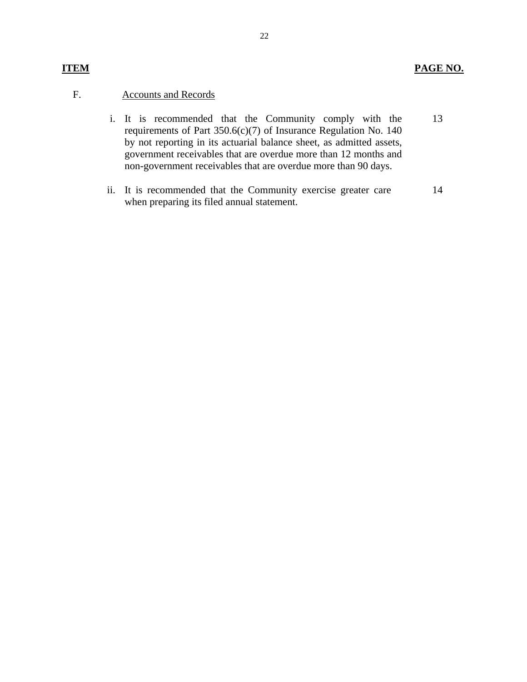#### F. Accounts and Records

- i. It is recommended that the Community comply with the requirements of Part 350.6(c)(7) of Insurance Regulation No. 140 by not reporting in its actuarial balance sheet, as admitted assets, government receivables that are overdue more than 12 months and non-government receivables that are overdue more than 90 days. 13
- ii. It is recommended that the Community exercise greater care when preparing its filed annual statement. 14

#### 22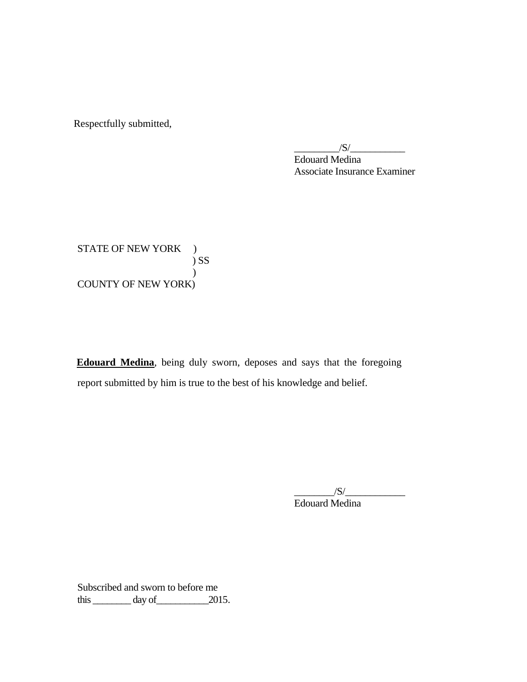Respectfully submitted,

 $\sqrt{S}/\sqrt{S}$ 

Edouard Medina Associate Insurance Examiner

STATE OF NEW YORK ) ) SS  $\lambda$ COUNTY OF NEW YORK)

report submitted by him is true to the best of his knowledge and belief. **Edouard Medina**, being duly sworn, deposes and says that the foregoing report submitted by him is true to the best of his knowledge and belief. \_\_\_\_\_\_\_\_/S/\_\_\_\_\_\_\_\_\_\_\_\_

Edouard Medina

Subscribed and sworn to before me  $\frac{3}{2015}$  day of  $\frac{2015}{2015}$ .